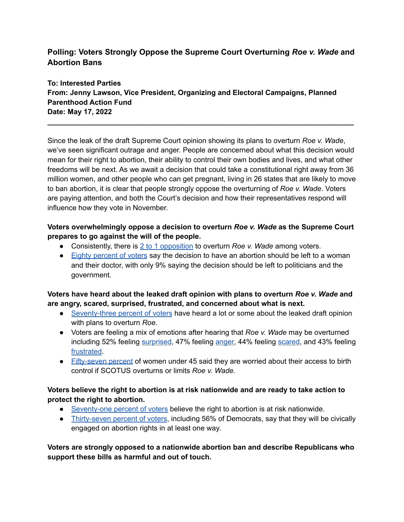# **Polling: Voters Strongly Oppose the Supreme Court Overturning** *Roe v. Wade* **and Abortion Bans**

**To: Interested Parties From: Jenny Lawson, Vice President, Organizing and Electoral Campaigns, Planned Parenthood Action Fund Date: May 17, 2022**

Since the leak of the draft Supreme Court opinion showing its plans to overturn *Roe v. Wade*, we've seen significant outrage and anger. People are concerned about what this decision would mean for their right to abortion, their ability to control their own bodies and lives, and what other freedoms will be next. As we await a decision that could take a constitutional right away from 36 million women, and other people who can get pregnant, living in 26 states that are likely to move to ban abortion, it is clear that people strongly oppose the overturning of *Roe v. Wade*. Voters are paying attention, and both the Court's decision and how their representatives respond will influence how they vote in November.

**\_\_\_\_\_\_\_\_\_\_\_\_\_\_\_\_\_\_\_\_\_\_\_\_\_\_\_\_\_\_\_\_\_\_\_\_\_\_\_\_\_\_\_\_\_\_\_\_\_\_\_\_\_\_\_\_\_\_\_\_\_\_\_\_\_\_\_\_\_\_\_\_\_\_\_\_**

## **Voters overwhelmingly oppose a decision to overturn** *Roe v. Wade* **as the Supreme Court prepares to go against the will of the people.**

- Consistently, there is 2 to 1 [opposition](https://navigatorresearch.org/wp-content/uploads/2022/05/Navigator-Abortion-Rights-Update-05.12.2022.pdf?emci=827695a0-5fd1-ec11-b656-281878b8c32f&emdi=cc97943c-d8d1-ec11-b656-281878b8c32f&ceid=841932) to overturn *Roe v. Wade* among voters.
- Eighty [percent](https://navigatorresearch.org/wp-content/uploads/2022/05/Navigator-Abortion-Rights-Update-05.12.2022.pdf?emci=827695a0-5fd1-ec11-b656-281878b8c32f&emdi=cc97943c-d8d1-ec11-b656-281878b8c32f&ceid=841932) of voters say the decision to have an abortion should be left to a woman and their doctor, with only 9% saying the decision should be left to politicians and the government.

### **Voters have heard about the leaked draft opinion with plans to overturn** *Roe v. Wade* **and are angry, scared, surprised, frustrated, and concerned about what is next.**

- [Seventy-three](https://navigatorresearch.org/wp-content/uploads/2022/05/Navigator-Abortion-Rights-Update-05.12.2022.pdf?emci=827695a0-5fd1-ec11-b656-281878b8c32f&emdi=cc97943c-d8d1-ec11-b656-281878b8c32f&ceid=841932) percent of voters have heard a lot or some about the leaked draft opinion with plans to overturn *Roe.*
- Voters are feeling a mix of emotions after hearing that *Roe v. Wade* may be overturned including 52% feeling [surprised](https://drive.google.com/file/d/1RPMDChtxH8f_7PPFxSvSr1UOsJslvkEi/view), 47% feeling [anger,](https://drive.google.com/file/d/1RPMDChtxH8f_7PPFxSvSr1UOsJslvkEi/view) 44% feeling [scared](https://drive.google.com/file/d/1RPMDChtxH8f_7PPFxSvSr1UOsJslvkEi/view), and 43% feeling [frustrated](https://navigatorresearch.org/wp-content/uploads/2022/05/Navigator-Abortion-Rights-Update-05.12.2022.pdf?emci=827695a0-5fd1-ec11-b656-281878b8c32f&emdi=cc97943c-d8d1-ec11-b656-281878b8c32f&ceid=841932).
- [Fifty-seven](https://morningconsult.com/2022/05/12/reproductive-health-abortion-access-data/) percent of women under 45 said they are worried about their access to birth control if SCOTUS overturns or limits *Roe v. Wade.*

### **Voters believe the right to abortion is at risk nationwide and are ready to take action to protect the right to abortion.**

- [Seventy-one](https://navigatorresearch.org/wp-content/uploads/2022/05/Navigator-Abortion-Rights-Update-05.12.2022.pdf?emci=827695a0-5fd1-ec11-b656-281878b8c32f&emdi=cc97943c-d8d1-ec11-b656-281878b8c32f&ceid=841932) percent of voters believe the right to abortion is at risk nationwide.
- [Thirty-seven](https://navigatorresearch.org/wp-content/uploads/2022/05/Navigator-Abortion-Rights-Update-05.12.2022.pdf?emci=827695a0-5fd1-ec11-b656-281878b8c32f&emdi=cc97943c-d8d1-ec11-b656-281878b8c32f&ceid=841932) percent of voters, including 56% of Democrats, say that they will be civically engaged on abortion rights in at least one way.

**Voters are strongly opposed to a nationwide abortion ban and describe Republicans who support these bills as harmful and out of touch.**